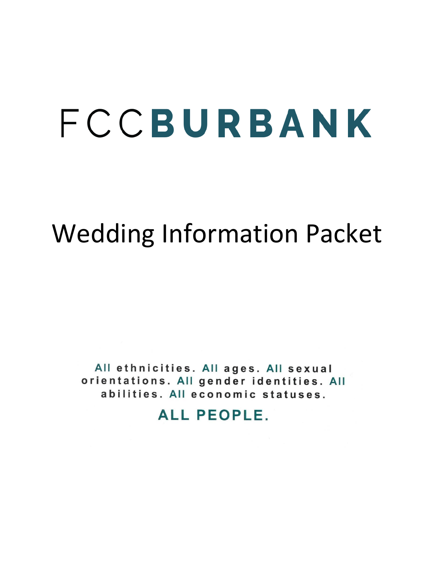# FCCBURBANK

## Wedding Information Packet

All ethnicities. All ages. All sexual orientations. All gender identities. All abilities. All economic statuses.

**ALL PEOPLE.**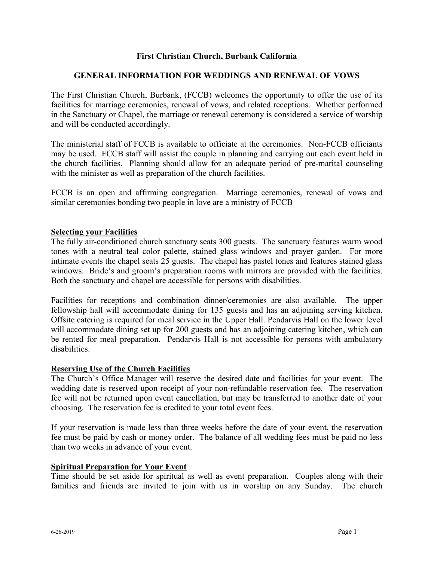#### **First Christian Church, Burbank California**

#### **GENERAL INFORMATION FOR WEDDINGS AND RENEWAL OF VOWS**

The First Christian Church, Burbank, (FCCB) welcomes the opportunity to offer the use of its facilities for marriage ceremonies, renewal of vows, and related receptions. Whether performed in the Sanctuary or Chapel, the marriage or renewal ceremony is considered a service of worship and will be conducted accordingly.

The ministerial staff of FCCB is available to officiate at the ceremonies. Non-FCCB officiants may be used. FCCB staff will assist the couple in planning and carrying out each event held in the church facilities. Planning should allow for an adequate period of pre-marital counseling with the minister as well as preparation of the church facilities.

FCCB is an open and affirming congregation. Marriage ceremonies, renewal of vows and similar ceremonies bonding two people in love are a ministry of FCCB

#### **Selecting your Facilities**

The fully air-conditioned church sanctuary seats 300 guests. The sanctuary features warm wood tones with a neutral teal color palette, stained glass windows and prayer garden. For more intimate events the chapel seats 25 guests. The chapel has pastel tones and features stained glass windows. Bride's and groom's preparation rooms with mirrors are provided with the facilities. Both the sanctuary and chapel are accessible for persons with disabilities.

Facilities for receptions and combination dinner/ceremonies are also available. The upper fellowship hall will accommodate dining for 135 guests and has an adjoining serving kitchen. Offsite catering is required for meal service in the Upper Hall. Pendarvis Hall on the lower level will accommodate dining set up for 200 guests and has an adjoining catering kitchen, which can be rented for meal preparation. Pendarvis Hall is not accessible for persons with ambulatory disabilities.

#### **Reserving Use of the Church Facilities**

The Church's Office Manager will reserve the desired date and facilities for your event. The wedding date is reserved upon receipt of your non-refundable reservation fee. The reservation fee will not be returned upon event cancellation, but may be transferred to another date of your choosing. The reservation fee is credited to your total event fees.

If your reservation is made less than three weeks before the date of your event, the reservation fee must be paid by cash or money order. The balance of all wedding fees must be paid no less than two weeks in advance of your event.

#### **Spiritual Preparation for Your Event**

Time should be set aside for spiritual as well as event preparation. Couples along with their families and friends are invited to join with us in worship on any Sunday. The church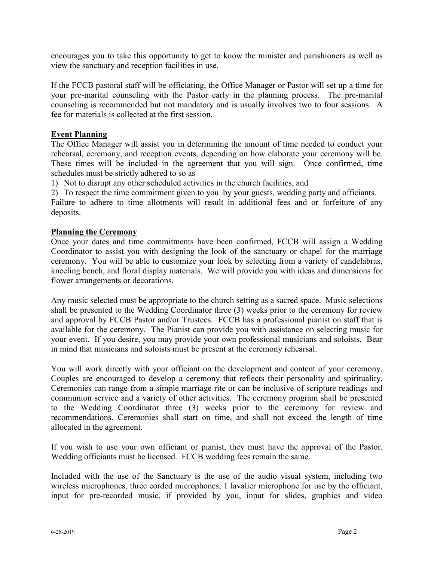encourages you to take this opportunity to get to know the minister and parishioners as well as view the sanctuary and reception facilities in use.

If the FCCB pastoral staff will be officiating, the Office Manager or Pastor will set up a time for your pre-marital counseling with the Pastor early in the planning process. The pre-marital counseling is recommended but not mandatory and is usually involves two to four sessions. A fee for materials is collected at the first session.

#### **Event Planning**

The Office Manager will assist you in determining the amount of time needed to conduct your rehearsal, ceremony, and reception events, depending on how elaborate your ceremony will be. These times will be included in the agreement that you will sign. Once confirmed, time schedules must be strictly adhered to so as

1) Not to disrupt any other scheduled activities in the church facilities, and

2) To respect the time commitment given to you by your guests, wedding party and officiants.

Failure to adhere to time allotments will result in additional fees and or forfeiture of any deposits.

#### **Planning the Ceremony**

Once your dates and time commitments have been confirmed, FCCB will assign a Wedding Coordinator to assist you with designing the look of the sanctuary or chapel for the marriage ceremony. You will be able to customize your look by selecting from a variety of candelabras, kneeling bench, and floral display materials. We will provide you with ideas and dimensions for flower arrangements or decorations.

Any music selected must be appropriate to the church setting as a sacred space. Music selections shall be presented to the Wedding Coordinator three (3) weeks prior to the ceremony for review and approval by FCCB Pastor and/or Trustees. FCCB has a professional pianist on staff that is available for the ceremony. The Pianist can provide you with assistance on selecting music for your event. If you desire, you may provide your own professional musicians and soloists. Bear in mind that musicians and soloists must be present at the ceremony rehearsal.

You will work directly with your officiant on the development and content of your ceremony. Couples are encouraged to develop a ceremony that reflects their personality and spirituality. Ceremonies can range from a simple marriage rite or can be inclusive of scripture readings and communion service and a variety of other activities. The ceremony program shall be presented to the Wedding Coordinator three (3) weeks prior to the ceremony for review and recommendations. Ceremonies shall start on time, and shall not exceed the length of time allocated in the agreement.

If you wish to use your own officiant or pianist, they must have the approval of the Pastor. Wedding officiants must be licensed. FCCB wedding fees remain the same.

Included with the use of the Sanctuary is the use of the audio visual system, including two wireless microphones, three corded microphones, 1 lavalier microphone for use by the officiant, input for pre-recorded music, if provided by you, input for slides, graphics and video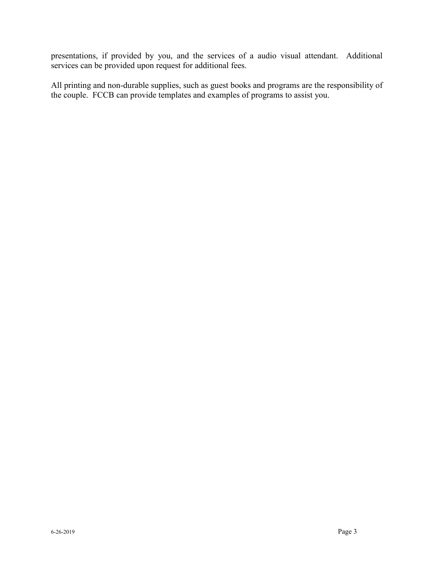presentations, if provided by you, and the services of a audio visual attendant. Additional services can be provided upon request for additional fees.

All printing and non-durable supplies, such as guest books and programs are the responsibility of the couple. FCCB can provide templates and examples of programs to assist you.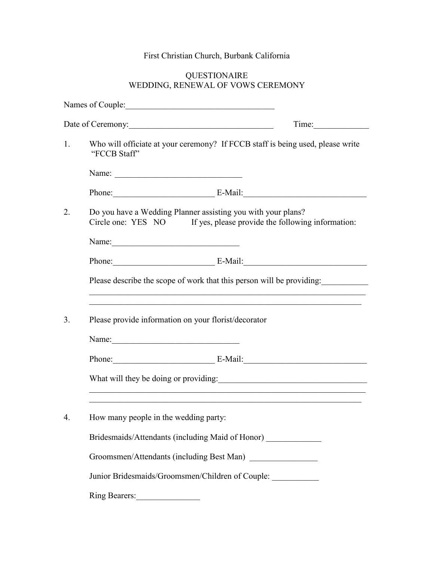### First Christian Church, Burbank California

#### QUESTIONAIRE WEDDING, RENEWAL OF VOWS CEREMONY

|    | Names of Couple:                                                                                                                                                                          |       |  |
|----|-------------------------------------------------------------------------------------------------------------------------------------------------------------------------------------------|-------|--|
|    | Date of Ceremony:                                                                                                                                                                         | Time: |  |
| 1. | Who will officiate at your ceremony? If FCCB staff is being used, please write<br>"FCCB Staff"                                                                                            |       |  |
|    |                                                                                                                                                                                           |       |  |
|    | Phone: E-Mail: E-Mail:                                                                                                                                                                    |       |  |
| 2. | Do you have a Wedding Planner assisting you with your plans?<br>Circle one: YES NO If yes, please provide the following information:                                                      |       |  |
|    |                                                                                                                                                                                           |       |  |
|    | Phone: E-Mail: E-Mail:                                                                                                                                                                    |       |  |
|    | Please describe the scope of work that this person will be providing:<br>and the control of the control of the control of the control of the control of the control of the control of the |       |  |
| 3. | Please provide information on your florist/decorator                                                                                                                                      |       |  |
|    | Name:                                                                                                                                                                                     |       |  |
|    | Phone: E-Mail:                                                                                                                                                                            |       |  |
|    | and the control of the control of the control of the control of the control of the control of the control of the                                                                          |       |  |
| 4. | How many people in the wedding party:                                                                                                                                                     |       |  |
|    | Bridesmaids/Attendants (including Maid of Honor)                                                                                                                                          |       |  |
|    | Groomsmen/Attendants (including Best Man)                                                                                                                                                 |       |  |
|    | Junior Bridesmaids/Groomsmen/Children of Couple: ___________                                                                                                                              |       |  |
|    | Ring Bearers:                                                                                                                                                                             |       |  |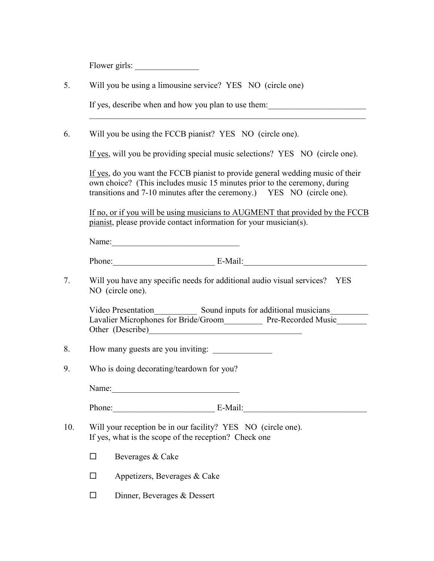Flower girls: \_\_\_\_\_\_\_\_\_\_\_\_\_\_\_

| 5.  | Will you be using a limousine service? YES NO (circle one)                                                                                                                                                                            |  |  |  |  |
|-----|---------------------------------------------------------------------------------------------------------------------------------------------------------------------------------------------------------------------------------------|--|--|--|--|
|     | If yes, describe when and how you plan to use them:                                                                                                                                                                                   |  |  |  |  |
| 6.  | Will you be using the FCCB pianist? YES NO (circle one).                                                                                                                                                                              |  |  |  |  |
|     | If yes, will you be providing special music selections? YES NO (circle one).                                                                                                                                                          |  |  |  |  |
|     | If yes, do you want the FCCB pianist to provide general wedding music of their<br>own choice? (This includes music 15 minutes prior to the ceremony, during<br>transitions and 7-10 minutes after the ceremony.) YES NO (circle one). |  |  |  |  |
|     | If no, or if you will be using musicians to AUGMENT that provided by the FCCB<br>pianist, please provide contact information for your musician(s).                                                                                    |  |  |  |  |
|     | Name:                                                                                                                                                                                                                                 |  |  |  |  |
|     | Phone: E-Mail:                                                                                                                                                                                                                        |  |  |  |  |
| 7.  | Will you have any specific needs for additional audio visual services? YES<br>NO (circle one).                                                                                                                                        |  |  |  |  |
|     | Video Presentation Sound inputs for additional musicians<br>Lavalier Microphones for Bride/Groom_____________ Pre-Recorded Music____<br>Other (Describe)                                                                              |  |  |  |  |
| 8.  | How many guests are you inviting:                                                                                                                                                                                                     |  |  |  |  |
| 9.  | Who is doing decorating/teardown for you?                                                                                                                                                                                             |  |  |  |  |
|     | Name:                                                                                                                                                                                                                                 |  |  |  |  |
|     | Phone:<br>$E-Mail:$                                                                                                                                                                                                                   |  |  |  |  |
| 10. | Will your reception be in our facility? YES NO (circle one).<br>If yes, what is the scope of the reception? Check one                                                                                                                 |  |  |  |  |
|     | Beverages & Cake<br>$\mathsf{L}$                                                                                                                                                                                                      |  |  |  |  |
|     | Appetizers, Beverages & Cake<br>□                                                                                                                                                                                                     |  |  |  |  |
|     | Dinner, Beverages & Dessert<br>$\sqcup$                                                                                                                                                                                               |  |  |  |  |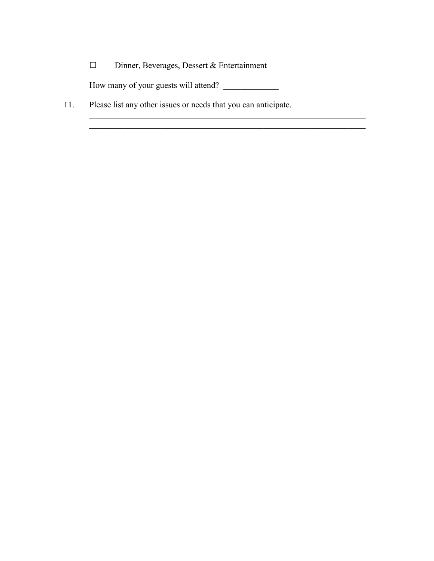| □<br>Dinner, Beverages, Dessert & Entertainment |  |
|-------------------------------------------------|--|
|-------------------------------------------------|--|

How many of your guests will attend? \_\_\_\_\_\_\_\_\_\_\_\_\_

 $\mathcal{L}_\mathcal{L} = \mathcal{L}_\mathcal{L} = \mathcal{L}_\mathcal{L} = \mathcal{L}_\mathcal{L} = \mathcal{L}_\mathcal{L} = \mathcal{L}_\mathcal{L} = \mathcal{L}_\mathcal{L} = \mathcal{L}_\mathcal{L} = \mathcal{L}_\mathcal{L} = \mathcal{L}_\mathcal{L} = \mathcal{L}_\mathcal{L} = \mathcal{L}_\mathcal{L} = \mathcal{L}_\mathcal{L} = \mathcal{L}_\mathcal{L} = \mathcal{L}_\mathcal{L} = \mathcal{L}_\mathcal{L} = \mathcal{L}_\mathcal{L}$ 

11. Please list any other issues or needs that you can anticipate.